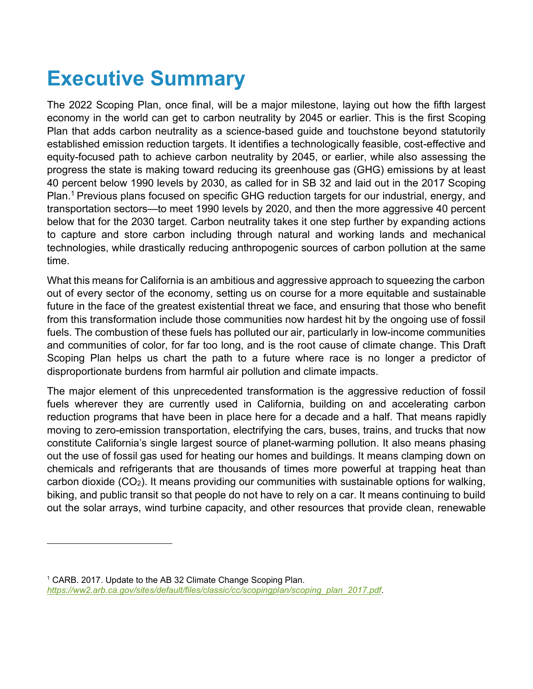## **Executive Summary**

The 2022 Scoping Plan, once final, will be a major milestone, laying out how the fifth largest economy in the world can get to carbon neutrality by 2045 or earlier. This is the first Scoping Plan that adds carbon neutrality as a science-based guide and touchstone beyond statutorily established emission reduction targets. It identifies a technologically feasible, cost-effective and equity-focused path to achieve carbon neutrality by 2045, or earlier, while also assessing the progress the state is making toward reducing its greenhouse gas (GHG) emissions by at least 40 percent below 1990 levels by 2030, as called for in SB 32 and laid out in the 2017 Scoping Plan.<sup>[1](#page-0-0)</sup> Previous plans focused on specific GHG reduction targets for our industrial, energy, and transportation sectors—to meet 1990 levels by 2020, and then the more aggressive 40 percent below that for the 2030 target. Carbon neutrality takes it one step further by expanding actions to capture and store carbon including through natural and working lands and mechanical technologies, while drastically reducing anthropogenic sources of carbon pollution at the same time.

What this means for California is an ambitious and aggressive approach to squeezing the carbon out of every sector of the economy, setting us on course for a more equitable and sustainable future in the face of the greatest existential threat we face, and ensuring that those who benefit from this transformation include those communities now hardest hit by the ongoing use of fossil fuels. The combustion of these fuels has polluted our air, particularly in low-income communities and communities of color, for far too long, and is the root cause of climate change. This Draft Scoping Plan helps us chart the path to a future where race is no longer a predictor of disproportionate burdens from harmful air pollution and climate impacts.

The major element of this unprecedented transformation is the aggressive reduction of fossil fuels wherever they are currently used in California, building on and accelerating carbon reduction programs that have been in place here for a decade and a half. That means rapidly moving to zero-emission transportation, electrifying the cars, buses, trains, and trucks that now constitute California's single largest source of planet-warming pollution. It also means phasing out the use of fossil gas used for heating our homes and buildings. It means clamping down on chemicals and refrigerants that are thousands of times more powerful at trapping heat than carbon dioxide (CO2). It means providing our communities with sustainable options for walking, biking, and public transit so that people do not have to rely on a car. It means continuing to build out the solar arrays, wind turbine capacity, and other resources that provide clean, renewable

<span id="page-0-0"></span><sup>&</sup>lt;sup>1</sup> CARB. 2017. Update to the AB 32 Climate Change Scoping Plan. *[https://ww2.arb.ca.gov/sites/default/files/classic/cc/scopingplan/scoping\\_plan\\_2017.pdf](https://ww2.arb.ca.gov/sites/default/files/classic/cc/scopingplan/scoping_plan_2017.pdf)*.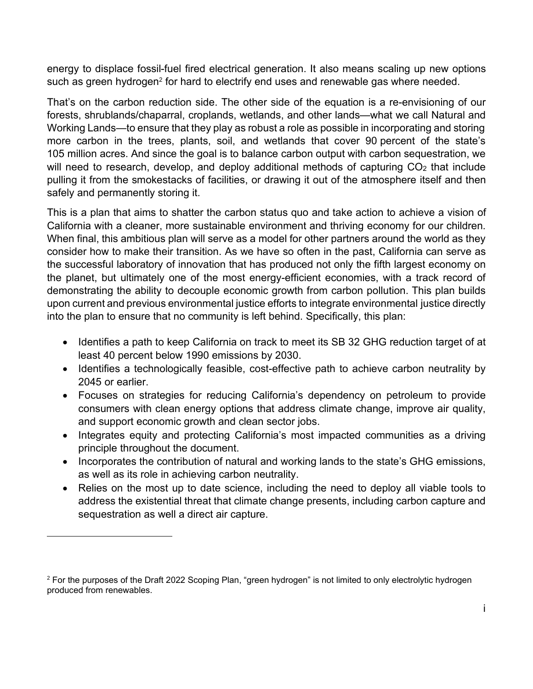energy to displace fossil-fuel fired electrical generation. It also means scaling up new options such as green hydrogen $^{\scriptscriptstyle 2}$  $^{\scriptscriptstyle 2}$  $^{\scriptscriptstyle 2}$  for hard to electrify end uses and renewable gas where needed.

That's on the carbon reduction side. The other side of the equation is a re-envisioning of our forests, shrublands/chaparral, croplands, wetlands, and other lands—what we call Natural and Working Lands—to ensure that they play as robust a role as possible in incorporating and storing more carbon in the trees, plants, soil, and wetlands that cover 90 percent of the state's 105 million acres. And since the goal is to balance carbon output with carbon sequestration, we will need to research, develop, and deploy additional methods of capturing CO<sub>2</sub> that include pulling it from the smokestacks of facilities, or drawing it out of the atmosphere itself and then safely and permanently storing it.

This is a plan that aims to shatter the carbon status quo and take action to achieve a vision of California with a cleaner, more sustainable environment and thriving economy for our children. When final, this ambitious plan will serve as a model for other partners around the world as they consider how to make their transition. As we have so often in the past, California can serve as the successful laboratory of innovation that has produced not only the fifth largest economy on the planet, but ultimately one of the most energy-efficient economies, with a track record of demonstrating the ability to decouple economic growth from carbon pollution. This plan builds upon current and previous environmental justice efforts to integrate environmental justice directly into the plan to ensure that no community is left behind. Specifically, this plan:

- · Identifies a path to keep California on track to meet its SB 32 GHG reduction target of at least 40 percent below 1990 emissions by 2030.
- · Identifies a technologically feasible, cost-effective path to achieve carbon neutrality by 2045 or earlier.
- · Focuses on strategies for reducing California's dependency on petroleum to provide consumers with clean energy options that address climate change, improve air quality, and support economic growth and clean sector jobs.
- Integrates equity and protecting California's most impacted communities as a driving principle throughout the document.
- · Incorporates the contribution of natural and working lands to the state's GHG emissions, as well as its role in achieving carbon neutrality.
- · Relies on the most up to date science, including the need to deploy all viable tools to address the existential threat that climate change presents, including carbon capture and sequestration as well a direct air capture.

<span id="page-1-0"></span><sup>&</sup>lt;sup>2</sup> For the purposes of the Draft 2022 Scoping Plan, "green hydrogen" is not limited to only electrolytic hydrogen produced from renewables.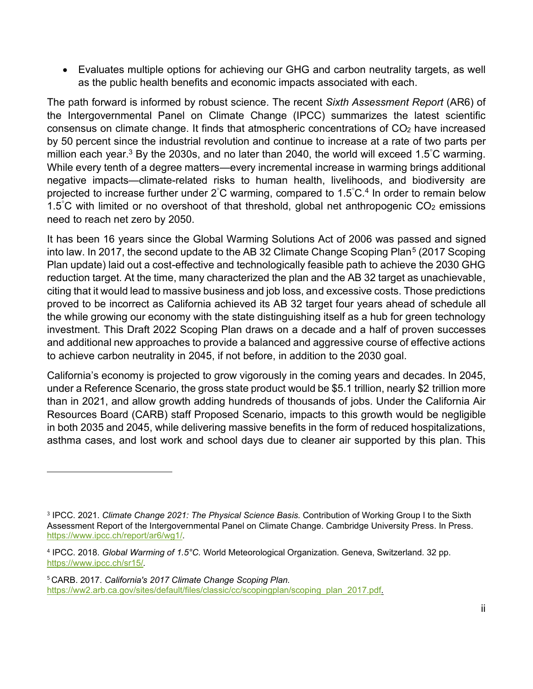· Evaluates multiple options for achieving our GHG and carbon neutrality targets, as well as the public health benefits and economic impacts associated with each.

The path forward is informed by robust science. The recent *Sixth Assessment Report* (AR6) of the Intergovernmental Panel on Climate Change (IPCC) summarizes the latest scientific consensus on climate change. It finds that atmospheric concentrations of CO<sub>2</sub> have increased by 50 percent since the industrial revolution and continue to increase at a rate of two parts per million each year.<sup>[3](#page-2-0)</sup> By the 2030s, and no later than 2040, the world will exceed 1.5°C warming. While every tenth of a degree matters—every incremental increase in warming brings additional negative impacts—climate-related risks to human health, livelihoods, and biodiversity are projected to increase further under 2°C warming, compared to 1.5°C.<sup>[4](#page-2-1)</sup> In order to remain below 1.5 $\degree$ C with limited or no overshoot of that threshold, global net anthropogenic CO<sub>2</sub> emissions need to reach net zero by 2050.

It has been 16 years since the Global Warming Solutions Act of 2006 was passed and signed into law. In 2017, the second update to the AB 32 Climate Change Scoping Plan<sup>[5](#page-2-2)</sup> (2017 Scoping Plan update) laid out a cost-effective and technologically feasible path to achieve the 2030 GHG reduction target. At the time, many characterized the plan and the AB 32 target as unachievable, citing that it would lead to massive business and job loss, and excessive costs. Those predictions proved to be incorrect as California achieved its AB 32 target four years ahead of schedule all the while growing our economy with the state distinguishing itself as a hub for green technology investment. This Draft 2022 Scoping Plan draws on a decade and a half of proven successes and additional new approaches to provide a balanced and aggressive course of effective actions to achieve carbon neutrality in 2045, if not before, in addition to the 2030 goal.

California's economy is projected to grow vigorously in the coming years and decades. In 2045, under a Reference Scenario, the gross state product would be \$5.1 trillion, nearly \$2 trillion more than in 2021, and allow growth adding hundreds of thousands of jobs. Under the California Air Resources Board (CARB) staff Proposed Scenario, impacts to this growth would be negligible in both 2035 and 2045, while delivering massive benefits in the form of reduced hospitalizations, asthma cases, and lost work and school days due to cleaner air supported by this plan. This

<span id="page-2-0"></span><sup>3</sup> IPCC. 2021. *Climate Change 2021: The Physical Science Basis.* Contribution of Working Group I to the Sixth Assessment Report of the Intergovernmental Panel on Climate Change. Cambridge University Press. In Press. <https://www.ipcc.ch/report/ar6/wg1/>.

<span id="page-2-1"></span><sup>4</sup> IPCC. 2018. *Global Warming of 1.5°C.* World Meteorological Organization. Geneva, Switzerland. 32 pp. <https://www.ipcc.ch/sr15/>*.*

<span id="page-2-2"></span><sup>5</sup> CARB. 2017. *California's 2017 Climate Change Scoping Plan.* https://ww2.arb.ca.gov/sites/default/files/classic/cc/scopingplan/scoping\_plan\_2017.pdf*.*